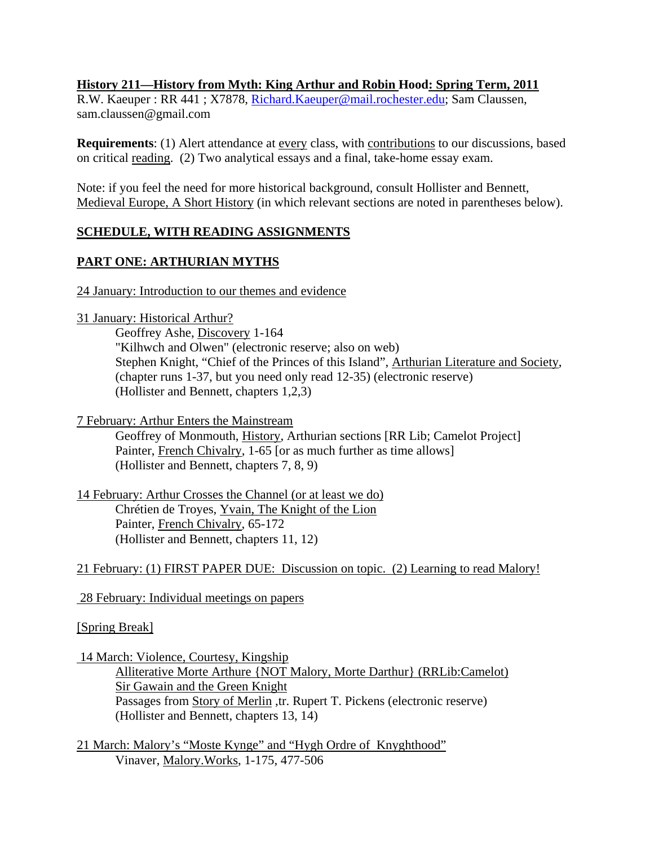## **History 211—History from Myth: King Arthur and Robin Hood: Spring Term, 2011**

R.W. Kaeuper : RR 441 ; X7878, Richard.Kaeuper@mail.rochester.edu; Sam Claussen, sam.claussen@gmail.com

**Requirements**: (1) Alert attendance at every class, with contributions to our discussions, based on critical reading. (2) Two analytical essays and a final, take-home essay exam.

Note: if you feel the need for more historical background, consult Hollister and Bennett, Medieval Europe, A Short History (in which relevant sections are noted in parentheses below).

# **SCHEDULE, WITH READING ASSIGNMENTS**

# **PART ONE: ARTHURIAN MYTHS**

24 January: Introduction to our themes and evidence

31 January: Historical Arthur?

Geoffrey Ashe, Discovery 1-164 "Kilhwch and Olwen" (electronic reserve; also on web) Stephen Knight, "Chief of the Princes of this Island", Arthurian Literature and Society, (chapter runs 1-37, but you need only read 12-35) (electronic reserve) (Hollister and Bennett, chapters 1,2,3)

7 February: Arthur Enters the Mainstream

 Geoffrey of Monmouth, History, Arthurian sections [RR Lib; Camelot Project] Painter, French Chivalry, 1-65 [or as much further as time allows] (Hollister and Bennett, chapters 7, 8, 9)

14 February: Arthur Crosses the Channel (or at least we do) Chrétien de Troyes, Yvain, The Knight of the Lion Painter, French Chivalry, 65-172 (Hollister and Bennett, chapters 11, 12)

21 February: (1) FIRST PAPER DUE: Discussion on topic. (2) Learning to read Malory!

28 February: Individual meetings on papers

### [Spring Break]

14 March: Violence, Courtesy, Kingship

 Alliterative Morte Arthure {NOT Malory, Morte Darthur} (RRLib:Camelot) Sir Gawain and the Green Knight Passages from Story of Merlin ,tr. Rupert T. Pickens (electronic reserve) (Hollister and Bennett, chapters 13, 14)

21 March: Malory's "Moste Kynge" and "Hygh Ordre of Knyghthood" Vinaver, Malory.Works, 1-175, 477-506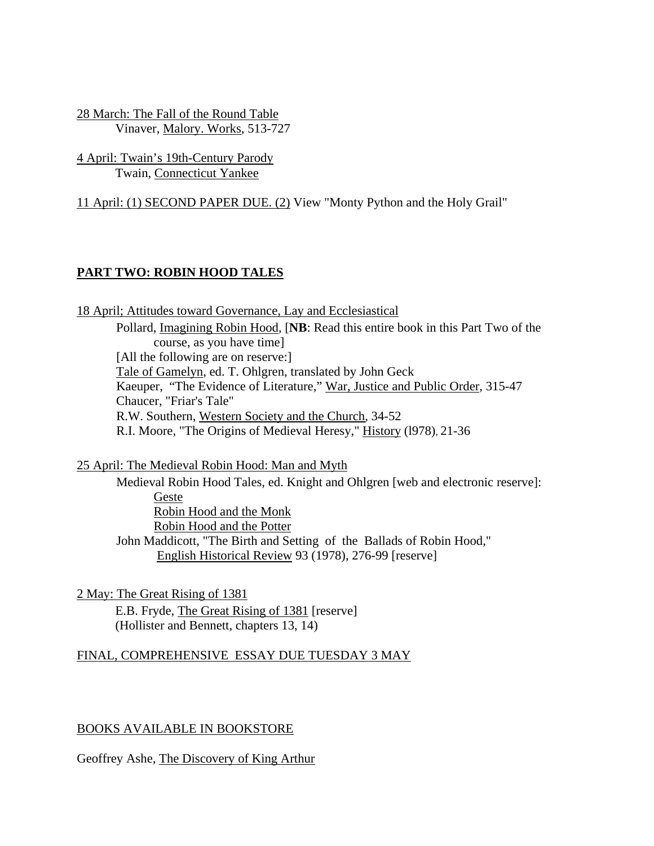28 March: The Fall of the Round Table Vinaver, Malory. Works, 513-727

4 April: Twain's 19th-Century Parody Twain, Connecticut Yankee

11 April: (1) SECOND PAPER DUE. (2) View "Monty Python and the Holy Grail"

# **PART TWO: ROBIN HOOD TALES**

18 April; Attitudes toward Governance, Lay and Ecclesiastical Pollard, Imagining Robin Hood, [**NB**: Read this entire book in this Part Two of the course, as you have time] [All the following are on reserve:] Tale of Gamelyn, ed. T. Ohlgren, translated by John Geck Kaeuper, "The Evidence of Literature," War, Justice and Public Order, 315-47 Chaucer, "Friar's Tale" R.W. Southern, Western Society and the Church, 34-52 R.I. Moore, "The Origins of Medieval Heresy," History (l978), 21-36

25 April: The Medieval Robin Hood: Man and Myth

 Medieval Robin Hood Tales, ed. Knight and Ohlgren [web and electronic reserve]: Geste Robin Hood and the Monk Robin Hood and the Potter John Maddicott, "The Birth and Setting of the Ballads of Robin Hood," English Historical Review 93 (1978), 276-99 [reserve]

2 May: The Great Rising of 1381 E.B. Fryde, The Great Rising of 1381 [reserve] (Hollister and Bennett, chapters 13, 14)

### FINAL, COMPREHENSIVE ESSAY DUE TUESDAY 3 MAY

### BOOKS AVAILABLE IN BOOKSTORE

Geoffrey Ashe, The Discovery of King Arthur